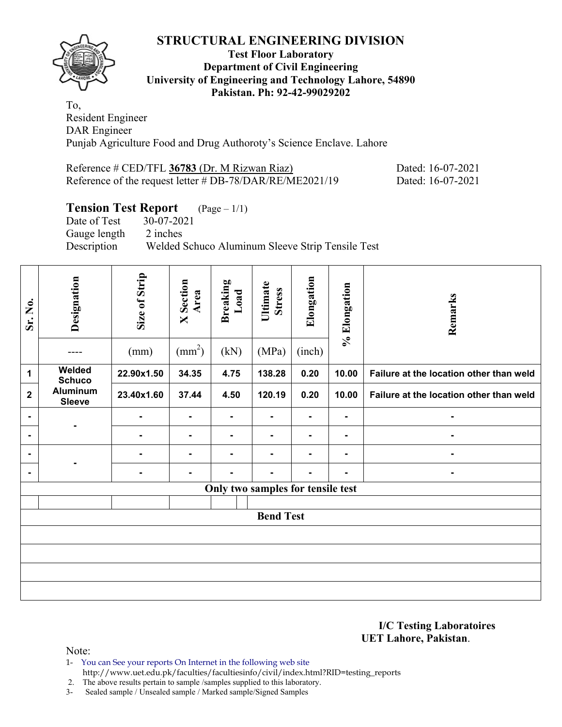

## **Test Floor Laboratory Department of Civil Engineering University of Engineering and Technology Lahore, 54890 Pakistan. Ph: 92-42-99029202**

To, Resident Engineer DAR Engineer Punjab Agriculture Food and Drug Authoroty's Science Enclave. Lahore

| Reference # CED/TFL 36783 (Dr. M Rizwan Riaz)               | Dated: 16-07-2021 |
|-------------------------------------------------------------|-------------------|
| Reference of the request letter $\#$ DB-78/DAR/RE/ME2021/19 | Dated: 16-07-2021 |

# **Tension Test Report**  $(Page - 1/1)$ <br>Date of Test  $30-07-2021$

 $30-07-2021$ Gauge length 2 inches Description Welded Schuco Aluminum Sleeve Strip Tensile Test

| Sr. No.        | Designation                      | Size of Strip  | <b>X</b> Section<br>Area | <b>Breaking</b><br>Load           | Ultimate<br><b>Stress</b> | Elongation     | % Elongation | Remarks                                 |
|----------------|----------------------------------|----------------|--------------------------|-----------------------------------|---------------------------|----------------|--------------|-----------------------------------------|
|                |                                  | (mm)           | $\text{(mm}^2)$          | (kN)                              | (MPa)                     | (inch)         |              |                                         |
| 1              | Welded<br><b>Schuco</b>          | 22.90x1.50     | 34.35                    | 4.75                              | 138.28                    | 0.20           | 10.00        | Failure at the location other than weld |
| $\mathbf{2}$   | <b>Aluminum</b><br><b>Sleeve</b> | 23.40x1.60     | 37.44                    | 4.50                              | 120.19                    | 0.20           | 10.00        | Failure at the location other than weld |
| $\blacksquare$ |                                  | $\blacksquare$ | ۰                        | ۰                                 | $\blacksquare$            | $\blacksquare$ | ۰            |                                         |
| $\blacksquare$ |                                  | -              | ۰                        | ۰                                 |                           | $\blacksquare$ | ۰            | ۰                                       |
| $\blacksquare$ |                                  | ٠              | ۰                        | $\blacksquare$                    |                           | $\blacksquare$ | ۰            | ۰                                       |
| $\blacksquare$ |                                  | ٠              | ۰                        | $\blacksquare$                    | $\overline{\phantom{a}}$  | $\blacksquare$ | ۰            | ۰                                       |
|                |                                  |                |                          | Only two samples for tensile test |                           |                |              |                                         |
|                |                                  |                |                          |                                   |                           |                |              |                                         |
|                |                                  |                |                          |                                   | <b>Bend Test</b>          |                |              |                                         |
|                |                                  |                |                          |                                   |                           |                |              |                                         |
|                |                                  |                |                          |                                   |                           |                |              |                                         |
|                |                                  |                |                          |                                   |                           |                |              |                                         |
|                |                                  |                |                          |                                   |                           |                |              |                                         |

#### **I/C Testing Laboratoires UET Lahore, Pakistan**.

Note:

1- You can See your reports On Internet in the following web site http://www.uet.edu.pk/faculties/facultiesinfo/civil/index.html?RID=testing\_reports

2. The above results pertain to sample /samples supplied to this laboratory.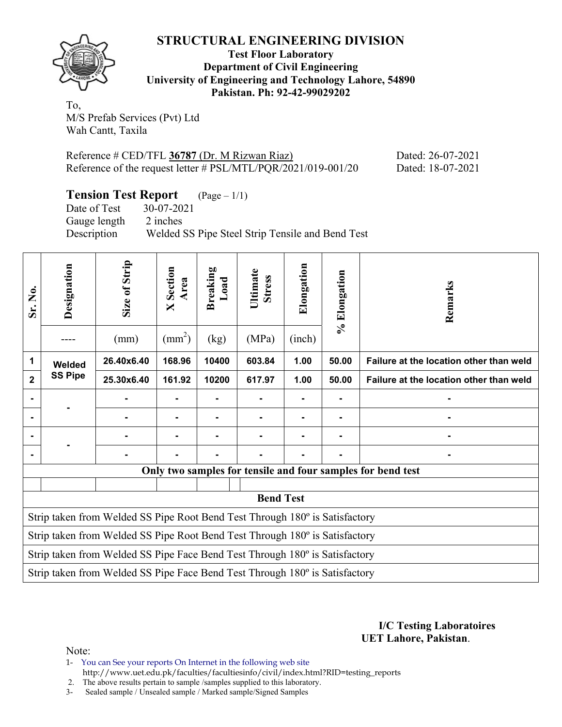

**Test Floor Laboratory Department of Civil Engineering University of Engineering and Technology Lahore, 54890 Pakistan. Ph: 92-42-99029202** 

To, M/S Prefab Services (Pvt) Ltd Wah Cantt, Taxila

Reference # CED/TFL **36787** (Dr. M Rizwan Riaz) Dated: 26-07-2021 Reference of the request letter # PSL/MTL/PQR/2021/019-001/20 Dated: 18-07-2021

**Tension Test Report** (Page – 1/1)

Date of Test 30-07-2021 Gauge length 2 inches Description Welded SS Pipe Steel Strip Tensile and Bend Test

| Designation    | Size of Strip<br>(mm) | Section<br>Area<br>$\boxtimes$<br>$\text{(mm}^2)$ | Breaking<br>Load<br>(kg) | Ultimate<br><b>Stress</b><br>(MPa) | Elongation<br>(inch) | % Elongation     | Remarks                                                                                                                                                                                                                                                                                                                                                                                 |
|----------------|-----------------------|---------------------------------------------------|--------------------------|------------------------------------|----------------------|------------------|-----------------------------------------------------------------------------------------------------------------------------------------------------------------------------------------------------------------------------------------------------------------------------------------------------------------------------------------------------------------------------------------|
| Welded         | 26.40x6.40            | 168.96                                            | 10400                    | 603.84                             | 1.00                 | 50.00            | Failure at the location other than weld                                                                                                                                                                                                                                                                                                                                                 |
| <b>SS Pipe</b> | 25.30x6.40            | 161.92                                            | 10200                    | 617.97                             | 1.00                 | 50.00            | Failure at the location other than weld                                                                                                                                                                                                                                                                                                                                                 |
|                |                       |                                                   |                          | ٠                                  |                      | -                |                                                                                                                                                                                                                                                                                                                                                                                         |
|                |                       | ۰                                                 |                          | Ξ.                                 |                      |                  |                                                                                                                                                                                                                                                                                                                                                                                         |
|                |                       |                                                   |                          |                                    |                      |                  |                                                                                                                                                                                                                                                                                                                                                                                         |
|                |                       |                                                   |                          |                                    |                      |                  |                                                                                                                                                                                                                                                                                                                                                                                         |
|                |                       |                                                   |                          |                                    |                      |                  |                                                                                                                                                                                                                                                                                                                                                                                         |
|                |                       |                                                   |                          |                                    |                      |                  |                                                                                                                                                                                                                                                                                                                                                                                         |
|                |                       |                                                   |                          |                                    |                      |                  |                                                                                                                                                                                                                                                                                                                                                                                         |
|                |                       |                                                   |                          |                                    |                      |                  |                                                                                                                                                                                                                                                                                                                                                                                         |
|                |                       |                                                   |                          |                                    |                      |                  |                                                                                                                                                                                                                                                                                                                                                                                         |
|                |                       |                                                   |                          |                                    |                      |                  |                                                                                                                                                                                                                                                                                                                                                                                         |
|                |                       |                                                   |                          |                                    |                      |                  |                                                                                                                                                                                                                                                                                                                                                                                         |
|                |                       |                                                   |                          |                                    |                      | <b>Bend Test</b> | Only two samples for tensile and four samples for bend test<br>Strip taken from Welded SS Pipe Root Bend Test Through 180° is Satisfactory<br>Strip taken from Welded SS Pipe Root Bend Test Through 180° is Satisfactory<br>Strip taken from Welded SS Pipe Face Bend Test Through 180° is Satisfactory<br>Strip taken from Welded SS Pipe Face Bend Test Through 180° is Satisfactory |

**I/C Testing Laboratoires UET Lahore, Pakistan**.

Note:

1- You can See your reports On Internet in the following web site http://www.uet.edu.pk/faculties/facultiesinfo/civil/index.html?RID=testing\_reports

2. The above results pertain to sample /samples supplied to this laboratory.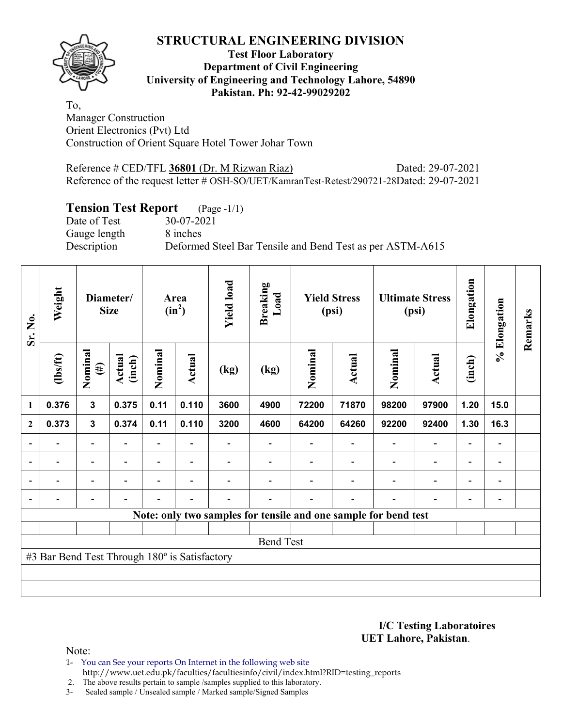

## **Test Floor Laboratory Department of Civil Engineering University of Engineering and Technology Lahore, 54890 Pakistan. Ph: 92-42-99029202**

To, Manager Construction Orient Electronics (Pvt) Ltd Construction of Orient Square Hotel Tower Johar Town

Reference # CED/TFL **36801** (Dr. M Rizwan Riaz) Dated: 29-07-2021 Reference of the request letter # OSH-SO/UET/KamranTest-Retest/290721-28Dated: 29-07-2021

# **Tension Test Report** (Page -1/1)

Date of Test 30-07-2021 Gauge length 8 inches

Description Deformed Steel Bar Tensile and Bend Test as per ASTM-A615

| Sr. No.                  | Weight                                        |                          | Diameter/<br><b>Size</b> |                          | Area<br>$(in^2)$         | <b>Yield load</b>        | <b>Breaking</b><br>Load                                         |         | <b>Yield Stress</b><br>(psi) |                          | <b>Ultimate Stress</b><br>(psi) | Elongation               | % Elongation                 | Remarks |
|--------------------------|-----------------------------------------------|--------------------------|--------------------------|--------------------------|--------------------------|--------------------------|-----------------------------------------------------------------|---------|------------------------------|--------------------------|---------------------------------|--------------------------|------------------------------|---------|
|                          | $\frac{2}{10}$                                | Nominal<br>$(\#)$        | Actual<br>(inch)         | Nominal                  | Actual                   | $\left(\text{kg}\right)$ | (kg)                                                            | Nominal | <b>Actual</b>                | Nominal                  | <b>Actual</b>                   | (inch)                   |                              |         |
| 1                        | 0.376                                         | $\mathbf{3}$             | 0.375                    | 0.11                     | 0.110                    | 3600                     | 4900                                                            | 72200   | 71870                        | 98200                    | 97900                           | 1.20                     | 15.0                         |         |
| $\mathbf{2}$             | 0.373                                         | $\mathbf{3}$             | 0.374                    | 0.11                     | 0.110                    | 3200                     | 4600                                                            | 64200   | 64260                        | 92200                    | 92400                           | 1.30                     | 16.3                         |         |
|                          |                                               | $\overline{\phantom{0}}$ |                          | $\overline{\phantom{0}}$ |                          |                          |                                                                 |         |                              |                          | $\overline{\phantom{a}}$        |                          | $\qquad \qquad \blacksquare$ |         |
|                          |                                               | -                        |                          |                          | $\overline{\phantom{0}}$ |                          |                                                                 |         |                              |                          | $\blacksquare$                  | $\overline{\phantom{0}}$ | -                            |         |
| $\overline{\phantom{0}}$ | $\overline{\phantom{0}}$                      | $\overline{\phantom{a}}$ | $\overline{\phantom{0}}$ | $\overline{\phantom{0}}$ | $\overline{\phantom{a}}$ |                          |                                                                 |         |                              | $\overline{\phantom{0}}$ | $\overline{\phantom{a}}$        | $\blacksquare$           | $\blacksquare$               |         |
|                          |                                               | $\overline{\phantom{0}}$ |                          |                          | $\overline{\phantom{0}}$ |                          |                                                                 |         |                              |                          | $\blacksquare$                  | $\overline{\phantom{0}}$ | $\qquad \qquad \blacksquare$ |         |
|                          |                                               |                          |                          |                          |                          |                          | Note: only two samples for tensile and one sample for bend test |         |                              |                          |                                 |                          |                              |         |
|                          |                                               |                          |                          |                          |                          |                          |                                                                 |         |                              |                          |                                 |                          |                              |         |
|                          |                                               |                          |                          |                          |                          |                          | <b>Bend Test</b>                                                |         |                              |                          |                                 |                          |                              |         |
|                          | #3 Bar Bend Test Through 180° is Satisfactory |                          |                          |                          |                          |                          |                                                                 |         |                              |                          |                                 |                          |                              |         |
|                          |                                               |                          |                          |                          |                          |                          |                                                                 |         |                              |                          |                                 |                          |                              |         |
|                          |                                               |                          |                          |                          |                          |                          |                                                                 |         |                              |                          |                                 |                          |                              |         |

**I/C Testing Laboratoires UET Lahore, Pakistan**.

Note:

1- You can See your reports On Internet in the following web site http://www.uet.edu.pk/faculties/facultiesinfo/civil/index.html?RID=testing\_reports

2. The above results pertain to sample /samples supplied to this laboratory.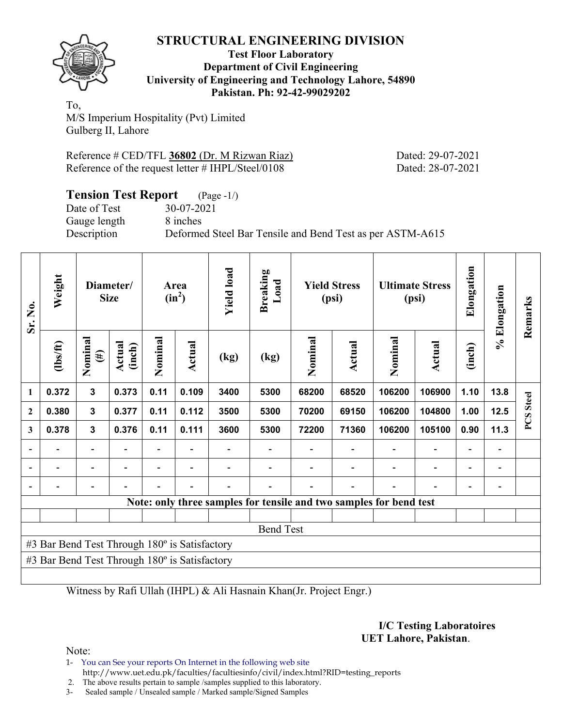

#### **Test Floor Laboratory Department of Civil Engineering University of Engineering and Technology Lahore, 54890 Pakistan. Ph: 92-42-99029202**

To, M/S Imperium Hospitality (Pvt) Limited Gulberg II, Lahore

| Reference # CED/TFL 36802 (Dr. M Rizwan Riaz)     |  |
|---------------------------------------------------|--|
| Reference of the request letter # IHPL/Steel/0108 |  |

Dated: 29-07-2021 Dated: 28-07-2021

| <b>Tension Test Report</b> (Page -1/) |                                                           |
|---------------------------------------|-----------------------------------------------------------|
| Date of Test                          | 30-07-2021                                                |
| Gauge length                          | 8 inches                                                  |
| Description                           | Deformed Steel Bar Tensile and Bend Test as per ASTM-A615 |

| Sr. No.                                       | Weight                                        |                          | Diameter/<br><b>Size</b> |                          | Area<br>$(in^2)$ | <b>Yield load</b> | <b>Breaking</b><br>Load |                                                                    | <b>Yield Stress</b><br>(psi) |         | <b>Ultimate Stress</b><br>(psi) | Elongation               | % Elongation | Remarks      |
|-----------------------------------------------|-----------------------------------------------|--------------------------|--------------------------|--------------------------|------------------|-------------------|-------------------------|--------------------------------------------------------------------|------------------------------|---------|---------------------------------|--------------------------|--------------|--------------|
|                                               | (1bs/ft)                                      | Nominal<br>$(\#)$        | Actual<br>(inch)         | Nominal                  | Actual           | (kg)              | (kg)                    | Nominal                                                            | Actual                       | Nominal | <b>Actual</b>                   | (inch)                   |              |              |
| 1                                             | 0.372                                         | $\mathbf 3$              | 0.373                    | 0.11                     | 0.109            | 3400              | 5300                    | 68200                                                              | 68520                        | 106200  | 106900                          | 1.10                     | 13.8         | <b>Steel</b> |
| $\boldsymbol{2}$                              | 0.380                                         | $\mathbf{3}$             | 0.377                    | 0.11                     | 0.112            | 3500              | 5300                    | 70200                                                              | 69150                        | 106200  | 104800                          | 1.00                     | 12.5         |              |
| 3                                             | 0.378                                         | $\mathbf{3}$             | 0.376                    | 0.11                     | 0.111            | 3600              | 5300                    | 72200                                                              | 71360                        | 106200  | 105100                          | 0.90                     | 11.3         | PCS          |
|                                               |                                               | $\overline{\phantom{0}}$ |                          | $\overline{\phantom{0}}$ |                  |                   |                         |                                                                    |                              |         |                                 | $\overline{\phantom{0}}$ | -            |              |
|                                               |                                               |                          |                          |                          |                  |                   |                         |                                                                    |                              |         |                                 |                          |              |              |
|                                               |                                               |                          |                          |                          |                  |                   |                         |                                                                    |                              |         |                                 |                          |              |              |
|                                               |                                               |                          |                          |                          |                  |                   |                         | Note: only three samples for tensile and two samples for bend test |                              |         |                                 |                          |              |              |
|                                               |                                               |                          |                          |                          |                  |                   |                         |                                                                    |                              |         |                                 |                          |              |              |
|                                               |                                               |                          |                          |                          |                  |                   | <b>Bend Test</b>        |                                                                    |                              |         |                                 |                          |              |              |
| #3 Bar Bend Test Through 180° is Satisfactory |                                               |                          |                          |                          |                  |                   |                         |                                                                    |                              |         |                                 |                          |              |              |
|                                               | #3 Bar Bend Test Through 180° is Satisfactory |                          |                          |                          |                  |                   |                         |                                                                    |                              |         |                                 |                          |              |              |
|                                               |                                               |                          |                          |                          |                  |                   |                         |                                                                    |                              |         |                                 |                          |              |              |

Witness by Rafi Ullah (IHPL) & Ali Hasnain Khan(Jr. Project Engr.)

**I/C Testing Laboratoires UET Lahore, Pakistan**.

Note:

1- You can See your reports On Internet in the following web site http://www.uet.edu.pk/faculties/facultiesinfo/civil/index.html?RID=testing\_reports

2. The above results pertain to sample /samples supplied to this laboratory.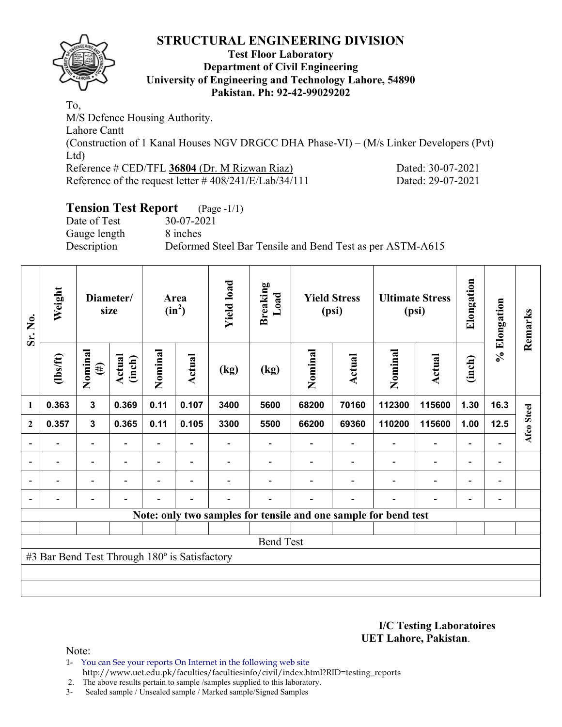

## **Test Floor Laboratory Department of Civil Engineering University of Engineering and Technology Lahore, 54890 Pakistan. Ph: 92-42-99029202**

To, M/S Defence Housing Authority. Lahore Cantt (Construction of 1 Kanal Houses NGV DRGCC DHA Phase-VI) – (M/s Linker Developers (Pvt) Ltd) Reference # CED/TFL **36804** (Dr. M Rizwan Riaz) Dated: 30-07-2021 Reference of the request letter # 408/241/E/Lab/34/111 Dated: 29-07-2021

# **Tension Test Report** (Page -1/1)

Date of Test 30-07-2021 Gauge length 8 inches

Description Deformed Steel Bar Tensile and Bend Test as per ASTM-A615

| Sr. No.                  | Weight                                        |                          |                  | Diameter/<br>size |                          |                          | Area<br>$(in^2)$ | <b>Yield load</b> | <b>Breaking</b><br>Load  |                                                                 | <b>Yield Stress</b><br>(psi) |                          | <b>Ultimate Stress</b><br>(psi) | Elongation | % Elongation | Remarks |
|--------------------------|-----------------------------------------------|--------------------------|------------------|-------------------|--------------------------|--------------------------|------------------|-------------------|--------------------------|-----------------------------------------------------------------|------------------------------|--------------------------|---------------------------------|------------|--------------|---------|
|                          | $\frac{2}{10}$                                | Nominal<br>$(\#)$        | Actual<br>(inch) | Nominal           | Actual                   | (kg)                     | (kg)             | Nominal           | Actual                   | Nominal                                                         | Actual                       | (inch)                   |                                 |            |              |         |
| 1                        | 0.363                                         | $\mathbf{3}$             | 0.369            | 0.11              | 0.107                    | 3400                     | 5600             | 68200             | 70160                    | 112300                                                          | 115600                       | 1.30                     | 16.3                            |            |              |         |
| $\overline{2}$           | 0.357                                         | $\mathbf{3}$             | 0.365            | 0.11              | 0.105                    | 3300                     | 5500             | 66200             | 69360                    | 110200                                                          | 115600                       | 1.00                     | 12.5                            | Afco Steel |              |         |
|                          |                                               | $\overline{\phantom{0}}$ |                  |                   |                          |                          |                  |                   |                          |                                                                 | $\overline{\phantom{0}}$     | $\overline{\phantom{0}}$ |                                 |            |              |         |
| $\overline{\phantom{a}}$ | $\overline{\phantom{0}}$                      | $\overline{\phantom{a}}$ | $\blacksquare$   | Ξ.                | $\overline{\phantom{a}}$ |                          |                  |                   | $\blacksquare$           | $\overline{\phantom{a}}$                                        | $\overline{\phantom{a}}$     | $\overline{\phantom{a}}$ | $\overline{\phantom{a}}$        |            |              |         |
|                          | $\overline{\phantom{0}}$                      | $\overline{\phantom{0}}$ |                  | Ξ.                | $\overline{\phantom{0}}$ |                          |                  |                   |                          | $\blacksquare$                                                  | $\overline{\phantom{0}}$     | $\overline{\phantom{0}}$ | $\overline{\phantom{0}}$        |            |              |         |
|                          | $\overline{\phantom{0}}$                      | -                        |                  | $\blacksquare$    | $\overline{\phantom{0}}$ | $\overline{\phantom{0}}$ |                  |                   | $\overline{\phantom{0}}$ | $\blacksquare$                                                  | $\qquad \qquad \blacksquare$ | -                        | $\qquad \qquad \blacksquare$    |            |              |         |
|                          |                                               |                          |                  |                   |                          |                          |                  |                   |                          | Note: only two samples for tensile and one sample for bend test |                              |                          |                                 |            |              |         |
|                          |                                               |                          |                  |                   |                          |                          |                  |                   |                          |                                                                 |                              |                          |                                 |            |              |         |
|                          |                                               |                          |                  |                   |                          |                          | <b>Bend Test</b> |                   |                          |                                                                 |                              |                          |                                 |            |              |         |
|                          | #3 Bar Bend Test Through 180° is Satisfactory |                          |                  |                   |                          |                          |                  |                   |                          |                                                                 |                              |                          |                                 |            |              |         |
|                          |                                               |                          |                  |                   |                          |                          |                  |                   |                          |                                                                 |                              |                          |                                 |            |              |         |
|                          |                                               |                          |                  |                   |                          |                          |                  |                   |                          |                                                                 |                              |                          |                                 |            |              |         |

**I/C Testing Laboratoires UET Lahore, Pakistan**.

Note:

- 1- You can See your reports On Internet in the following web site http://www.uet.edu.pk/faculties/facultiesinfo/civil/index.html?RID=testing\_reports
- 2. The above results pertain to sample /samples supplied to this laboratory.
- 3- Sealed sample / Unsealed sample / Marked sample/Signed Samples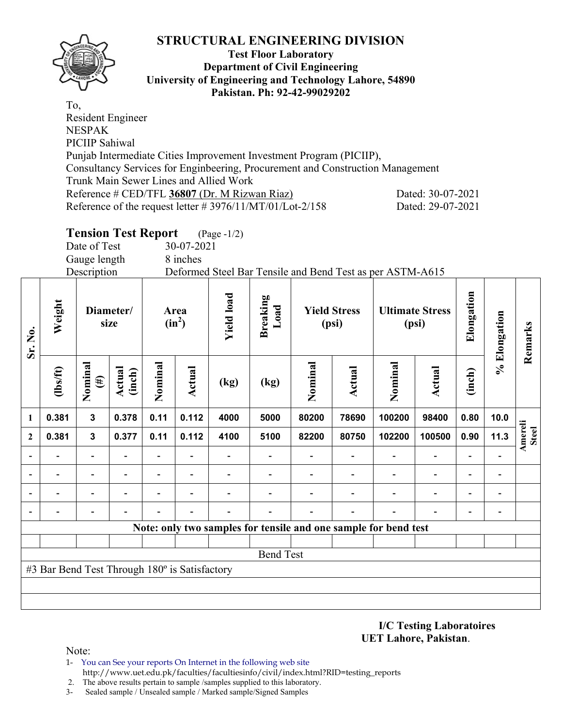

#### **Test Floor Laboratory Department of Civil Engineering University of Engineering and Technology Lahore, 54890 Pakistan. Ph: 92-42-99029202**

To, Resident Engineer NESPAK PICIIP Sahiwal Punjab Intermediate Cities Improvement Investment Program (PICIIP), Consultancy Services for Enginbeering, Procurement and Construction Management Trunk Main Sewer Lines and Allied Work Reference # CED/TFL **36807** (Dr. M Rizwan Riaz) Dated: 30-07-2021 Reference of the request letter # 3976/11/MT/01/Lot-2/158 Dated: 29-07-2021

# **Tension Test Report** (Page -1/2)

Date of Test 30-07-2021

Gauge length 8 inches

Description Deformed Steel Bar Tensile and Bend Test as per ASTM-A615

| Sr. No.                  | Weight                                        |                          | Diameter/<br>size        | Area<br>$(in^2)$         |                          | <b>Yield load</b><br><b>Breaking</b><br>Load<br><b>Yield Stress</b><br>(psi) |                                                                 | <b>Ultimate Stress</b><br>(psi) |                | Elongation               | % Elongation                 | Remarks                  |                              |                         |
|--------------------------|-----------------------------------------------|--------------------------|--------------------------|--------------------------|--------------------------|------------------------------------------------------------------------------|-----------------------------------------------------------------|---------------------------------|----------------|--------------------------|------------------------------|--------------------------|------------------------------|-------------------------|
|                          | (1bs/ft)                                      | Nominal<br>$(\#)$        | Actual<br>(inch)         | Nominal                  | <b>Actual</b>            | (kg)                                                                         | (kg)                                                            | Nominal                         | <b>Actual</b>  | Nominal                  | Actual                       | (inch)                   |                              |                         |
| 1                        | 0.381                                         | 3                        | 0.378                    | 0.11                     | 0.112                    | 4000                                                                         | 5000                                                            | 80200                           | 78690          | 100200                   | 98400                        | 0.80                     | 10.0                         |                         |
| $\mathbf{2}$             | 0.381                                         | $\mathbf{3}$             | 0.377                    | 0.11                     | 0.112                    | 4100                                                                         | 5100                                                            | 82200                           | 80750          | 102200                   | 100500                       | 0.90                     | 11.3                         | Amereli<br><b>Steel</b> |
| ۰                        |                                               |                          |                          | $\overline{\phantom{a}}$ |                          |                                                                              |                                                                 |                                 | $\blacksquare$ | $\overline{\phantom{0}}$ | $\qquad \qquad \blacksquare$ | $\overline{\phantom{a}}$ |                              |                         |
|                          |                                               | $\overline{\phantom{0}}$ | $\overline{\phantom{0}}$ | $\overline{\phantom{a}}$ | $\overline{\phantom{a}}$ |                                                                              |                                                                 |                                 |                |                          | $\qquad \qquad \blacksquare$ | $\overline{\phantom{0}}$ | $\overline{\phantom{0}}$     |                         |
|                          |                                               |                          |                          | -                        |                          |                                                                              |                                                                 |                                 |                |                          | $\overline{\phantom{0}}$     | $\overline{\phantom{0}}$ | $\qquad \qquad \blacksquare$ |                         |
| $\overline{\phantom{0}}$ |                                               |                          |                          |                          |                          |                                                                              |                                                                 |                                 |                |                          |                              | $\overline{\phantom{0}}$ |                              |                         |
|                          |                                               |                          |                          |                          |                          |                                                                              | Note: only two samples for tensile and one sample for bend test |                                 |                |                          |                              |                          |                              |                         |
|                          |                                               |                          |                          |                          |                          |                                                                              |                                                                 |                                 |                |                          |                              |                          |                              |                         |
|                          |                                               |                          |                          |                          |                          |                                                                              | <b>Bend Test</b>                                                |                                 |                |                          |                              |                          |                              |                         |
|                          | #3 Bar Bend Test Through 180° is Satisfactory |                          |                          |                          |                          |                                                                              |                                                                 |                                 |                |                          |                              |                          |                              |                         |
|                          |                                               |                          |                          |                          |                          |                                                                              |                                                                 |                                 |                |                          |                              |                          |                              |                         |
|                          |                                               |                          |                          |                          |                          |                                                                              |                                                                 |                                 |                |                          |                              |                          |                              |                         |

**I/C Testing Laboratoires UET Lahore, Pakistan**.

Note:

1- You can See your reports On Internet in the following web site http://www.uet.edu.pk/faculties/facultiesinfo/civil/index.html?RID=testing\_reports

2. The above results pertain to sample /samples supplied to this laboratory.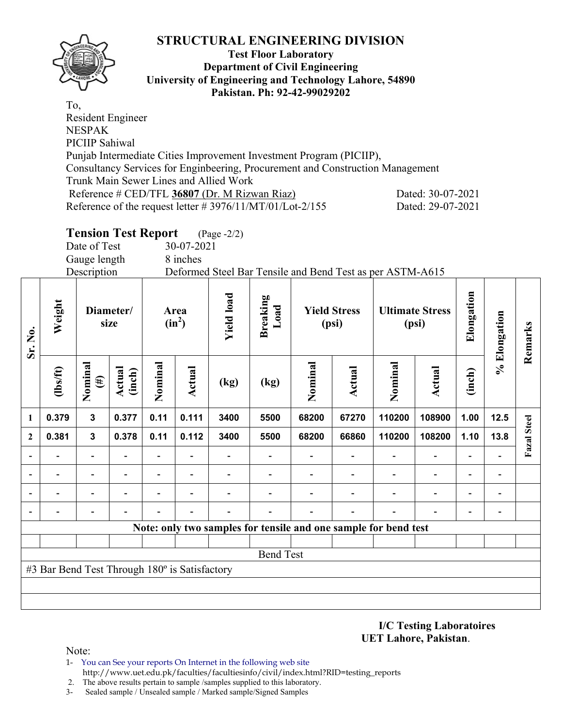

#### **Test Floor Laboratory Department of Civil Engineering University of Engineering and Technology Lahore, 54890 Pakistan. Ph: 92-42-99029202**

To, Resident Engineer NESPAK PICIIP Sahiwal Punjab Intermediate Cities Improvement Investment Program (PICIIP), Consultancy Services for Enginbeering, Procurement and Construction Management Trunk Main Sewer Lines and Allied Work Reference # CED/TFL **36807** (Dr. M Rizwan Riaz) Dated: 30-07-2021 Reference of the request letter # 3976/11/MT/01/Lot-2/155 Dated: 29-07-2021

# **Tension Test Report** (Page -2/2)

Date of Test 30-07-2021

Gauge length 8 inches Description Deformed Steel Bar Tensile and Bend Test as per ASTM-A615

| Sr. No.                  | Weight                                        |                          | Diameter/<br>size       |                          | Area<br>$(in^2)$ | <b>Yield load</b> | <b>Breaking</b><br>Load |         | <b>Yield Stress</b><br>(psi) |                                                                 | <b>Ultimate Stress</b><br>(psi) | Elongation               | % Elongation             | Remarks            |
|--------------------------|-----------------------------------------------|--------------------------|-------------------------|--------------------------|------------------|-------------------|-------------------------|---------|------------------------------|-----------------------------------------------------------------|---------------------------------|--------------------------|--------------------------|--------------------|
|                          | (1bs/ft)                                      | Nominal<br>$(\#)$        | <b>Actual</b><br>(inch) | Nominal                  | Actual           | (kg)              | (kg)                    | Nominal | <b>Actual</b>                | Nominal                                                         | <b>Actual</b>                   | (inch)                   |                          |                    |
| 1                        | 0.379                                         | $\mathbf{3}$             | 0.377                   | 0.11                     | 0.111            | 3400              | 5500                    | 68200   | 67270                        | 110200                                                          | 108900                          | 1.00                     | 12.5                     |                    |
| $\mathbf{2}$             | 0.381                                         | 3                        | 0.378                   | 0.11                     | 0.112            | 3400              | 5500                    | 68200   | 66860                        | 110200                                                          | 108200                          | 1.10                     | 13.8                     | <b>Fazal Steel</b> |
|                          |                                               | $\blacksquare$           |                         | $\overline{\phantom{0}}$ |                  |                   |                         |         |                              |                                                                 | $\overline{\phantom{a}}$        |                          |                          |                    |
|                          |                                               | $\overline{\phantom{0}}$ |                         | $\overline{\phantom{0}}$ |                  |                   |                         |         |                              |                                                                 | $\overline{\phantom{0}}$        | $\overline{\phantom{0}}$ | $\overline{\phantom{a}}$ |                    |
| $\overline{\phantom{0}}$ |                                               | $\overline{\phantom{0}}$ |                         |                          |                  |                   |                         |         |                              |                                                                 | $\overline{\phantom{0}}$        | $\overline{\phantom{0}}$ | $\blacksquare$           |                    |
| $\overline{\phantom{a}}$ |                                               |                          |                         |                          | $\blacksquare$   |                   |                         |         |                              |                                                                 |                                 |                          |                          |                    |
|                          |                                               |                          |                         |                          |                  |                   |                         |         |                              | Note: only two samples for tensile and one sample for bend test |                                 |                          |                          |                    |
|                          |                                               |                          |                         |                          |                  |                   |                         |         |                              |                                                                 |                                 |                          |                          |                    |
|                          |                                               |                          |                         |                          |                  |                   | <b>Bend Test</b>        |         |                              |                                                                 |                                 |                          |                          |                    |
|                          | #3 Bar Bend Test Through 180° is Satisfactory |                          |                         |                          |                  |                   |                         |         |                              |                                                                 |                                 |                          |                          |                    |
|                          |                                               |                          |                         |                          |                  |                   |                         |         |                              |                                                                 |                                 |                          |                          |                    |
|                          |                                               |                          |                         |                          |                  |                   |                         |         |                              |                                                                 |                                 |                          |                          |                    |

**I/C Testing Laboratoires UET Lahore, Pakistan**.

Note:

- 1- You can See your reports On Internet in the following web site http://www.uet.edu.pk/faculties/facultiesinfo/civil/index.html?RID=testing\_reports
- 2. The above results pertain to sample /samples supplied to this laboratory.
- 3- Sealed sample / Unsealed sample / Marked sample/Signed Samples